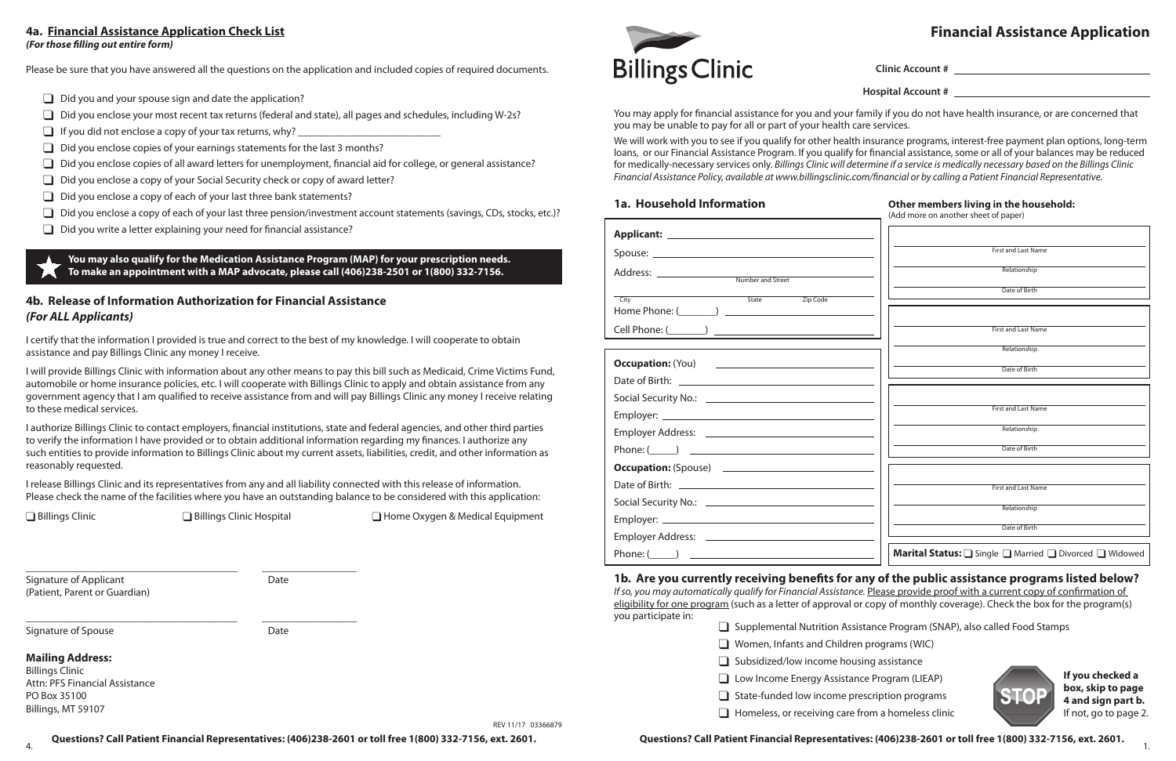# **4a. Financial Assistance Application Check List Financial Assistance Application** *(For those filling out entire form)*

Please be sure that you have answered all the questions on the application and included copies of required documents.

- $\Box$  Did you and your spouse sign and date the application?
- $\Box$  Did you enclose your most recent tax returns (federal and state), all pages and schedules, including W-2s?
- $\Box$  If you did not enclose a copy of your tax returns, why?
- $\Box$  Did you enclose copies of your earnings statements for the last 3 months?
- $\Box$  Did you enclose copies of all award letters for unemployment, financial aid for college, or general assistance?
- $\Box$  Did you enclose a copy of your Social Security check or copy of award letter?
- $\Box$  Did you enclose a copy of each of your last three bank statements?
- $\Box$  Did you enclose a copy of each of your last three pension/investment account statements (savings, CDs, stocks, etc.)?
- $\Box$  Did you write a letter explaining your need for financial assistance?

**You may also qualify for the Medication Assistance Program (MAP) for your prescription needs. To make an appointment with a MAP advocate, please call (406)238-2501 or 1(800) 332-7156.**

# **4b. Release of Information Authorization for Financial Assistance** *(For ALL Applicants)*

Signature of Applicant Date (Patient, Parent or Guardian)

Signature of Spouse Date Date

I certify that the information I provided is true and correct to the best of my knowledge. I will cooperate to obtain assistance and pay Billings Clinic any money I receive.

I will provide Billings Clinic with information about any other means to pay this bill such as Medicaid, Crime Victims Fund, automobile or home insurance policies, etc. I will cooperate with Billings Clinic to apply and obtain assistance from any government agency that I am qualified to receive assistance from and will pay Billings Clinic any money I receive relating to these medical services.

> *If so, you may automatically qualify for Financial Assistance.* Please provide proof with a current copy of confirmation of eligibility for one program (such as a letter of approval or copy of monthly coverage). Check the box for the program(s) you participate in:

| $\Box$ Supplemental Nutrition Assis              |
|--------------------------------------------------|
| $\Box$ Women, Infants and Children               |
| Subsidized/low income housi                      |
| $\Box$ Low Income Energy Assistand               |
| $\Box$ State-funded low income pre               |
| the control of the company of the company of the |

I authorize Billings Clinic to contact employers, financial institutions, state and federal agencies, and other third parties to verify the information I have provided or to obtain additional information regarding my finances. I authorize any such entities to provide information to Billings Clinic about my current assets, liabilities, credit, and other information as reasonably requested.

| 1a. Household Information                                                                                                                                                                                                                                                                                                                | Other members living in the household:<br>(Add more on another sheet of paper) |  |  |
|------------------------------------------------------------------------------------------------------------------------------------------------------------------------------------------------------------------------------------------------------------------------------------------------------------------------------------------|--------------------------------------------------------------------------------|--|--|
|                                                                                                                                                                                                                                                                                                                                          |                                                                                |  |  |
|                                                                                                                                                                                                                                                                                                                                          | <b>First and Last Name</b>                                                     |  |  |
|                                                                                                                                                                                                                                                                                                                                          | Relationship                                                                   |  |  |
| State<br>Zip Code<br>City                                                                                                                                                                                                                                                                                                                | Date of Birth                                                                  |  |  |
|                                                                                                                                                                                                                                                                                                                                          |                                                                                |  |  |
|                                                                                                                                                                                                                                                                                                                                          | <b>First and Last Name</b>                                                     |  |  |
|                                                                                                                                                                                                                                                                                                                                          | Relationship                                                                   |  |  |
| Occupation: (You) <u>________________________</u>                                                                                                                                                                                                                                                                                        | Date of Birth                                                                  |  |  |
|                                                                                                                                                                                                                                                                                                                                          |                                                                                |  |  |
|                                                                                                                                                                                                                                                                                                                                          |                                                                                |  |  |
|                                                                                                                                                                                                                                                                                                                                          | <b>First and Last Name</b>                                                     |  |  |
|                                                                                                                                                                                                                                                                                                                                          | Relationship                                                                   |  |  |
| Phone: $\qquad \qquad$ $\qquad$ $\qquad$ $\qquad$ $\qquad$ $\qquad$ $\qquad$ $\qquad$ $\qquad$ $\qquad$ $\qquad$ $\qquad$ $\qquad$ $\qquad$ $\qquad$ $\qquad$ $\qquad$ $\qquad$ $\qquad$ $\qquad$ $\qquad$ $\qquad$ $\qquad$ $\qquad$ $\qquad$ $\qquad$ $\qquad$ $\qquad$ $\qquad$ $\qquad$ $\qquad$ $\qquad$ $\qquad$ $\qquad$ $\qquad$ | Date of Birth                                                                  |  |  |
| Occupation: (Spouse) <u>_______________________________</u>                                                                                                                                                                                                                                                                              |                                                                                |  |  |
|                                                                                                                                                                                                                                                                                                                                          | <b>First and Last Name</b>                                                     |  |  |
|                                                                                                                                                                                                                                                                                                                                          | Relationship                                                                   |  |  |
|                                                                                                                                                                                                                                                                                                                                          |                                                                                |  |  |
|                                                                                                                                                                                                                                                                                                                                          | Date of Birth                                                                  |  |  |
| Phone: $($ ) $\qquad$                                                                                                                                                                                                                                                                                                                    | <b>Marital Status:</b> □ Single □ Married □ Divorced □ Widowed                 |  |  |

I release Billings Clinic and its representatives from any and all liability connected with this release of information. Please check the name of the facilities where you have an outstanding balance to be considered with this application:

 $\frac{1}{4}$ .  $\frac{1}{4}$ **Questions? Call Patient Financial Representatives: (406)238-2601 or toll free 1(800) 332-7156, ext. 2601.**

\_\_\_\_\_\_\_\_\_\_\_\_\_\_\_\_\_\_\_\_\_\_\_\_\_\_\_\_\_\_\_\_\_\_\_\_\_\_\_\_ \_\_\_\_\_\_\_\_\_\_\_\_\_\_\_\_\_\_

**Q Billings Clinic Q Billings Clinic Hospital Q Home Oxygen & Medical Equipment** 

\_\_\_\_\_\_\_\_\_\_\_\_\_\_\_\_\_\_\_\_\_\_\_\_\_\_\_\_\_\_\_\_\_\_\_\_\_\_\_\_ \_\_\_\_\_\_\_\_\_\_\_\_\_\_\_\_\_\_

**Mailing Address:**  Billings Clinic Attn: PFS Financial Assistance PO Box 35100 Billings, MT 59107

**Billings Clinic** 

You may apply for financial assistance for you and your family if you do not have health insurance, or are concerned that you may be unable to pay for all or part of your health care services.

We will work with you to see if you qualify for other health insurance programs, interest-free payment plan options, long-term loans, or our Financial Assistance Program. If you qualify for financial assistance, some or all of your balances may be reduced for medically-necessary services only. *Billings Clinic will determine if a service is medically necessary based on the Billings Clinic Financial Assistance Policy, available at www.billingsclinic.com/financial or by calling a Patient Financial Representative.*

## **1a. Household Information**

**1b. Are you currently receiving benefits for any of the public assistance programs listed below?**

REV 11/17 03366879 **Questions? Call Patient Financial Representatives: (406)238-2601 or toll free 1(800) 332-7156, ext. 2601.**

**Clinic Account #**

**Hospital Account #**

### **Other members living in the household:**

tance Program (SNAP), also called Food Stamps

programs (WIC)

ing assistance

ce Program (LIEAP)

escription programs

 $\Box$  Homeless, or receiving care from a homeless clinic



**If you checked a box, skip to page 4 and sign part b.** If not, go to page 2.